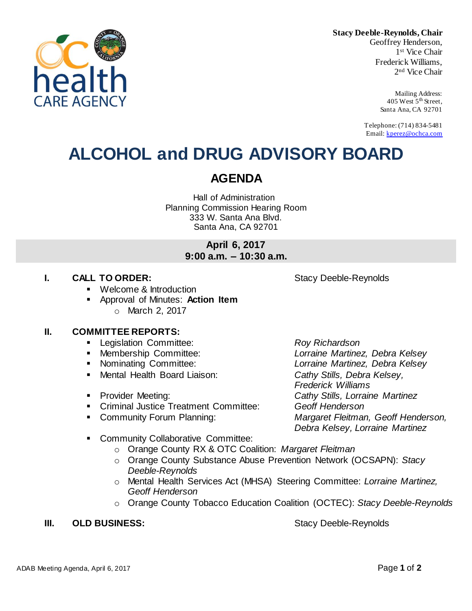

**Stacy Deeble-Reynolds, Chair** Geoffrey Henderson, 1 st Vice Chair Frederick Williams, 2 nd Vice Chair

> Mailing Address: 405 West  $5<sup>th</sup>$  Street, Santa Ana, CA 92701

Telephone: (714) 834-5481 Email: [kperez@ochca.com](mailto:kperez@ochca.com)

# **ALCOHOL and DRUG ADVISORY BOARD**

## **AGENDA**

Hall of Administration Planning Commission Hearing Room 333 W. Santa Ana Blvd. Santa Ana, CA 92701

## **April 6, 2017 9:00 a.m. – 10:30 a.m.**

## **I. CALL TO ORDER:** Stacy Deeble-Reynolds

- Welcome & Introduction
- Approval of Minutes: **Action Item** o March 2, 2017

## **II. COMMITTEE REPORTS:**

- Legislation Committee: *Roy Richardson*
- 
- 
- Mental Health Board Liaison: *Cathy Stills, Debra Kelsey,*
- 
- Criminal Justice Treatment Committee: *Geoff Henderson*
- 

 Membership Committee: *Lorraine Martinez, Debra Kelsey* Nominating Committee: *Lorraine Martinez, Debra Kelsey Frederick Williams* Provider Meeting: *Cathy Stills, Lorraine Martinez* Community Forum Planning: *Margaret Fleitman, Geoff Henderson, Debra Kelsey, Lorraine Martinez*

- **EXECOMMUNITY Collaborative Committee:** 
	- o Orange County RX & OTC Coalition: *Margaret Fleitman*
	- o Orange County Substance Abuse Prevention Network (OCSAPN): *Stacy Deeble-Reynolds*
	- o Mental Health Services Act (MHSA) Steering Committee: *Lorraine Martinez, Geoff Henderson*
	- o Orange County Tobacco Education Coalition (OCTEC): *Stacy Deeble-Reynolds*

## **III. OLD BUSINESS:** Stacy Deeble-Reynolds